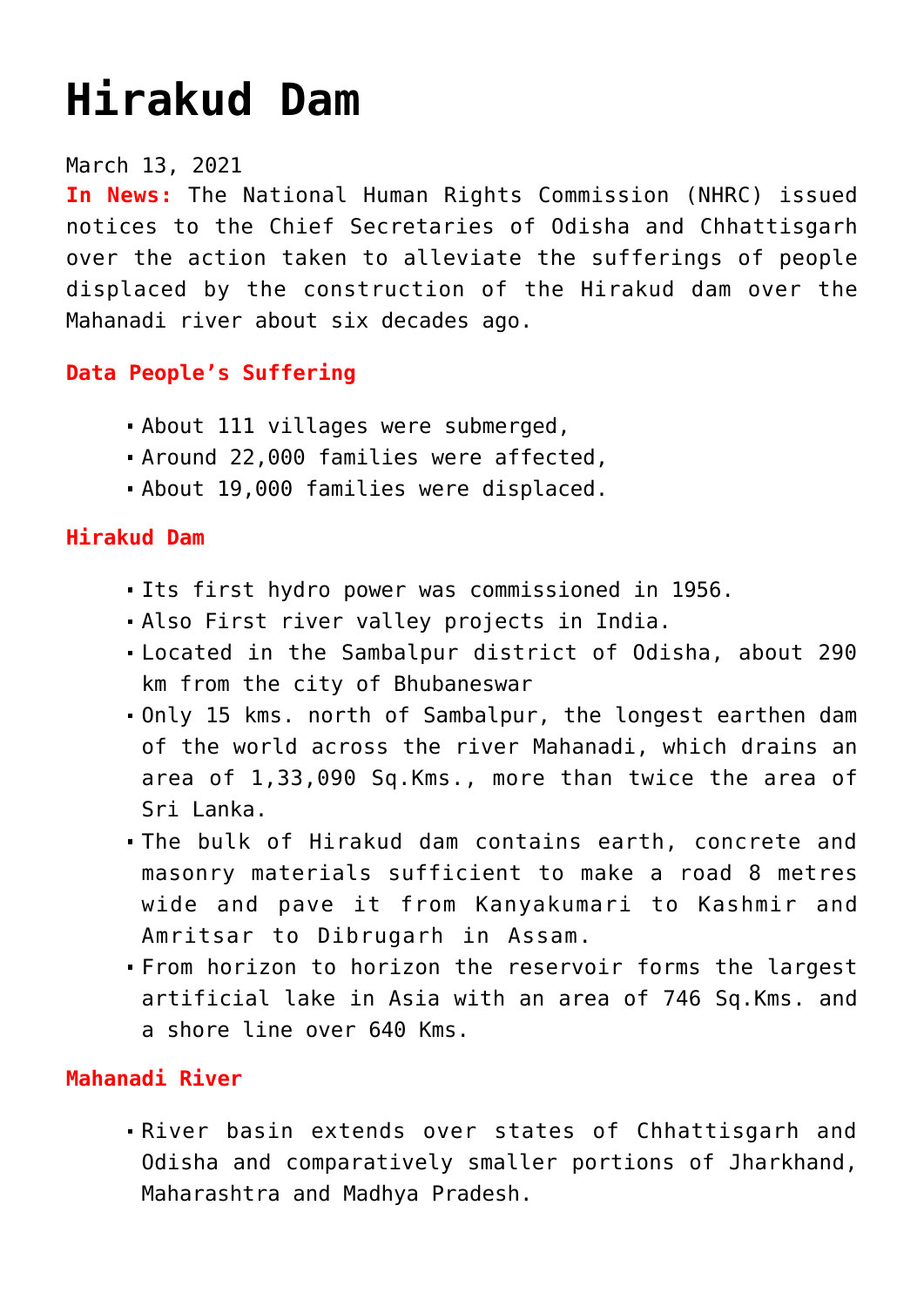# **[Hirakud Dam](https://journalsofindia.com/hirakud-dam/)**

#### March 13, 2021

**In News:** The National Human Rights Commission (NHRC) issued notices to the Chief Secretaries of Odisha and Chhattisgarh over the action taken to alleviate the sufferings of people displaced by the construction of the Hirakud dam over the Mahanadi river about six decades ago.

### **Data People's Suffering**

- About 111 villages were submerged,
- Around 22,000 families were affected,
- About 19,000 families were displaced.

### **Hirakud Dam**

- Its first hydro power was commissioned in 1956.
- Also First river valley projects in India.
- Located in the Sambalpur district of Odisha, about 290 km from the city of Bhubaneswar
- Only 15 kms. north of Sambalpur, the longest earthen dam of the world across the river Mahanadi, which drains an area of 1,33,090 Sq.Kms., more than twice the area of Sri Lanka.
- The bulk of Hirakud dam contains earth, concrete and masonry materials sufficient to make a road 8 metres wide and pave it from Kanyakumari to Kashmir and Amritsar to Dibrugarh in Assam.
- From horizon to horizon the reservoir forms the largest artificial lake in Asia with an area of 746 Sq.Kms. and a shore line over 640 Kms.

## **Mahanadi River**

River basin extends over states of Chhattisgarh and Odisha and comparatively smaller portions of Jharkhand, Maharashtra and Madhya Pradesh.